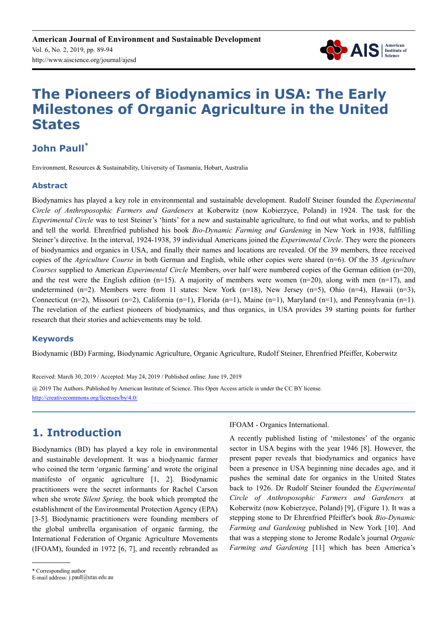

# **The Pioneers of Biodynamics in USA: The Early Milestones of Organic Agriculture in the United States**

# **John Paull\***

Environment, Resources & Sustainability, University of Tasmania, Hobart, Australia

#### **Abstract**

Biodynamics has played a key role in environmental and sustainable development. Rudolf Steiner founded the *Experimental Circle of Anthroposophic Farmers and Gardeners* at Koberwitz (now Kobierzyce, Poland) in 1924. The task for the *Experimental Circle* was to test Steiner's 'hints' for a new and sustainable agriculture, to find out what works, and to publish and tell the world. Ehrenfried published his book *Bio-Dynamic Farming and Gardening* in New York in 1938, fulfilling Steiner's directive. In the interval, 1924-1938, 39 individual Americans joined the *Experimental Circle*. They were the pioneers of biodynamics and organics in USA, and finally their names and locations are revealed. Of the 39 members, three received copies of the *Agriculture Course* in both German and English, while other copies were shared (n=6). Of the 35 *Agriculture Courses* supplied to American *Experimental Circle* Members, over half were numbered copies of the German edition (n=20), and the rest were the English edition (n=15). A majority of members were women (n=20), along with men (n=17), and undetermined (n=2). Members were from 11 states: New York (n=18), New Jersey (n=5), Ohio (n=4), Hawaii (n=3), Connecticut (n=2), Missouri (n=2), California (n=1), Florida (n=1), Maine (n=1), Maryland (n=1), and Pennsylvania (n=1). The revelation of the earliest pioneers of biodynamics, and thus organics, in USA provides 39 starting points for further research that their stories and achievements may be told.

#### **Keywords**

Biodynamic (BD) Farming, Biodynamic Agriculture, Organic Agriculture, Rudolf Steiner, Ehrenfried Pfeiffer, Koberwitz

Received: March 30, 2019 / Accepted: May 24, 2019 / Published online: June 19, 2019

@ 2019 The Authors. Published by American Institute of Science. This Open Access article is under the CC BY license. http://creativecommons.org/licenses/by/4.0/

# **1. Introduction**

Biodynamics (BD) has played a key role in environmental and sustainable development. It was a biodynamic farmer who coined the term 'organic farming' and wrote the original manifesto of organic agriculture [1, 2]. Biodynamic practitioners were the secret informants for Rachel Carson when she wrote *Silent Spring,* the book which prompted the establishment of the Environmental Protection Agency (EPA) [3-5]*.* Biodynamic practitioners were founding members of the global umbrella organisation of organic farming, the International Federation of Organic Agriculture Movements (IFOAM), founded in 1972 [6, 7], and recently rebranded as IFOAM - Organics International.

A recently published listing of 'milestones' of the organic sector in USA begins with the year 1946 [8]. However, the present paper reveals that biodynamics and organics have been a presence in USA beginning nine decades ago, and it pushes the seminal date for organics in the United States back to 1926. Dr Rudolf Steiner founded the *Experimental Circle of Anthroposophic Farmers and Gardeners* at Koberwitz (now Kobierzyce, Poland) [9], (Figure 1). It was a stepping stone to Dr Ehrenfried Pfeiffer's book *Bio-Dynamic Farming and Gardening* published in New York [10]. And that was a stepping stone to Jerome Rodale's journal *Organic Farming and Gardening* [11] which has been America's

E-mail address: j.paull@utas.edu.au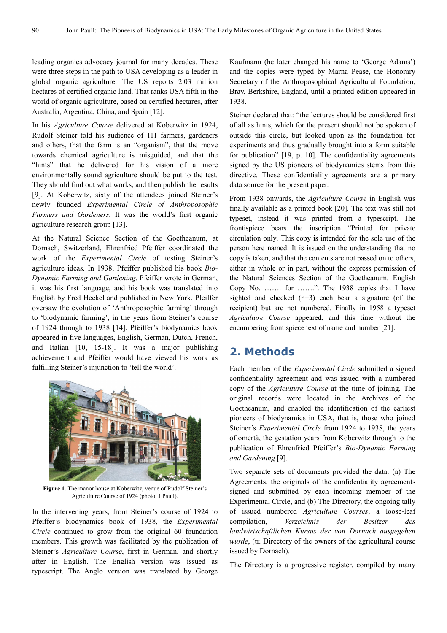leading organics advocacy journal for many decades. These were three steps in the path to USA developing as a leader in global organic agriculture. The US reports 2.03 million hectares of certified organic land. That ranks USA fifth in the world of organic agriculture, based on certified hectares, after Australia, Argentina, China, and Spain [12].

In his *Agriculture Course* delivered at Koberwitz in 1924, Rudolf Steiner told his audience of 111 farmers, gardeners and others, that the farm is an "organism", that the move towards chemical agriculture is misguided, and that the "hints" that he delivered for his vision of a more environmentally sound agriculture should be put to the test. They should find out what works, and then publish the results [9]. At Koberwitz, sixty of the attendees joined Steiner's newly founded *Experimental Circle of Anthroposophic Farmers and Gardeners.* It was the world's first organic agriculture research group [13].

At the Natural Science Section of the Goetheanum, at Dornach, Switzerland, Ehrenfried Pfeiffer coordinated the work of the *Experimental Circle* of testing Steiner's agriculture ideas. In 1938, Pfeiffer published his book *Bio-Dynamic Farming and Gardening*. Pfeiffer wrote in German, it was his first language, and his book was translated into English by Fred Heckel and published in New York. Pfeiffer oversaw the evolution of 'Anthroposophic farming' through to 'biodynamic farming', in the years from Steiner's course of 1924 through to 1938 [14]. Pfeiffer's biodynamics book appeared in five languages, English, German, Dutch, French, and Italian [10, 15-18]. It was a major publishing achievement and Pfeiffer would have viewed his work as fulfilling Steiner's injunction to 'tell the world'.



**Figure 1.** The manor house at Koberwitz, venue of Rudolf Steiner's Agriculture Course of 1924 (photo: J Paull).

In the intervening years, from Steiner's course of 1924 to Pfeiffer's biodynamics book of 1938, the *Experimental Circle* continued to grow from the original 60 foundation members. This growth was facilitated by the publication of Steiner's *Agriculture Course*, first in German, and shortly after in English. The English version was issued as typescript. The Anglo version was translated by George Kaufmann (he later changed his name to 'George Adams') and the copies were typed by Marna Pease, the Honorary Secretary of the Anthroposophical Agricultural Foundation, Bray, Berkshire, England, until a printed edition appeared in 1938.

Steiner declared that: "the lectures should be considered first of all as hints, which for the present should not be spoken of outside this circle, but looked upon as the foundation for experiments and thus gradually brought into a form suitable for publication" [19, p. 10]. The confidentiality agreements signed by the US pioneers of biodynamics stems from this directive. These confidentiality agreements are a primary data source for the present paper.

From 1938 onwards, the *Agriculture Course* in English was finally available as a printed book [20]. The text was still not typeset, instead it was printed from a typescript. The frontispiece bears the inscription "Printed for private circulation only. This copy is intended for the sole use of the person here named. It is issued on the understanding that no copy is taken, and that the contents are not passed on to others, either in whole or in part, without the express permission of the Natural Sciences Section of the Goetheanum. English Copy No. ……. for …….". The 1938 copies that I have sighted and checked (n=3) each bear a signature (of the recipient) but are not numbered. Finally in 1958 a typeset *Agriculture Course* appeared, and this time without the encumbering frontispiece text of name and number [21].

## **2. Methods**

Each member of the *Experimental Circle* submitted a signed confidentiality agreement and was issued with a numbered copy of the *Agriculture Course* at the time of joining. The original records were located in the Archives of the Goetheanum, and enabled the identification of the earliest pioneers of biodynamics in USA, that is, those who joined Steiner's *Experimental Circle* from 1924 to 1938, the years of omertà, the gestation years from Koberwitz through to the publication of Ehrenfried Pfeiffer's *Bio-Dynamic Farming and Gardening* [9].

Two separate sets of documents provided the data: (a) The Agreements, the originals of the confidentiality agreements signed and submitted by each incoming member of the Experimental Circle, and (b) The Directory, the ongoing tally of issued numbered *Agriculture Courses*, a loose-leaf compilation, *Verzeichnis der Besitzer des landwirtschaftlichen Kursus der von Dornach ausgegeben wurde*, (tr. Directory of the owners of the agricultural course issued by Dornach).

The Directory is a progressive register, compiled by many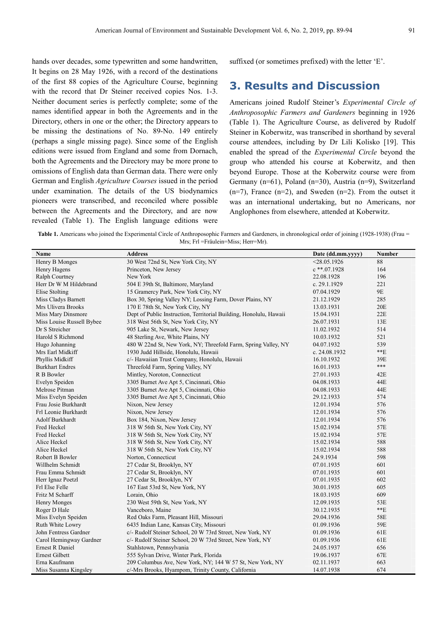hands over decades, some typewritten and some handwritten, It begins on 28 May 1926, with a record of the destinations of the first 88 copies of the Agriculture Course, beginning with the record that Dr Steiner received copies Nos. 1-3. Neither document series is perfectly complete; some of the names identified appear in both the Agreements and in the Directory, others in one or the other; the Directory appears to be missing the destinations of No. 89-No. 149 entirely (perhaps a single missing page). Since some of the English editions were issued from England and some from Dornach, both the Agreements and the Directory may be more prone to omissions of English data than German data. There were only German and English *Agriculture Courses* issued in the period under examination. The details of the US biodynamics pioneers were transcribed, and reconciled where possible between the Agreements and the Directory, and are now revealed (Table 1). The English language editions were suffixed (or sometimes prefixed) with the letter 'E'.

# **3. Results and Discussion**

Americans joined Rudolf Steiner's *Experimental Circle of Anthroposophic Farmers and Gardeners* beginning in 1926 (Table 1). The Agriculture Course, as delivered by Rudolf Steiner in Koberwitz, was transcribed in shorthand by several course attendees, including by Dr Lili Kolisko [19]. This enabled the spread of the *Experimental Circle* beyond the group who attended his course at Koberwitz, and then beyond Europe. Those at the Koberwitz course were from Germany (n=61), Poland (n=30), Austria (n=9), Switzerland  $(n=7)$ , France  $(n=2)$ , and Sweden  $(n=2)$ . From the outset it was an international undertaking, but no Americans, nor Anglophones from elsewhere, attended at Koberwitz.

Table 1. Americans who joined the Experimental Circle of Anthroposophic Farmers and Gardeners, in chronological order of joining (1928-1938) (Frau = Mrs; Frl =Fräulein=Miss; Herr=Mr).

| Name                      | <b>Address</b>                                                     | Date (dd.mm.yyyy) | <b>Number</b> |
|---------------------------|--------------------------------------------------------------------|-------------------|---------------|
| Henry B Monges            | 30 West 72nd St, New York City, NY                                 | $<$ 28.05.1926    | 88            |
| Henry Hagens              | Princeton, New Jersey                                              | $c$ **.07.1928    | 164           |
| Ralph Courtney            | New York                                                           | 22.08.1928        | 196           |
| Herr Dr W M Hildebrand    | 504 E 39th St, Baltimore, Maryland                                 | c. $29.1.1929$    | 221           |
| Elise Stolting            | 15 Gramercy Park, New York City, NY                                | 07.04.1929        | 9E            |
| Miss Cladys Barnett       | Box 30, Spring Valley NY; Lossing Farm, Dover Plains, NY           | 21.12.1929        | 285           |
| Mrs Ulivera Brooks        | 170 E 78th St, New York City, NY                                   | 13.03.1931        | 20E           |
| Miss Mary Dinsmore        | Dept of Public Instruction, Territorial Building, Honolulu, Hawaii | 15.04.1931        | 22E           |
| Miss Louise Russell Bybee | 318 West 56th St, New York City, NY                                | 26.07.1931        | 13E           |
| Dr S Streicher            | 905 Lake St, Newark, New Jersey                                    | 11.02.1932        | 514           |
| Harold S Richmond         | 48 Sterling Ave, White Plains, NY                                  | 10.03.1932        | 521           |
| Hugo Johanning            | 480 W 22nd St, New York, NY; Threefold Farm, Spring Valley, NY     | 04.07.1932        | 539           |
| Mrs Earl Midkiff          | 1930 Judd Hillside, Honolulu, Hawaii                               | c. $24.08.1932$   | $**E$         |
| Phyllis Midkiff           | c/- Hawaiian Trust Company, Honolulu, Hawaii                       | 16.10.1932        | 39E           |
| <b>Burkhart Endres</b>    | Threefold Farm, Spring Valley, NY                                  | 16.01.1933        | $***$         |
| R B Bowler                | Mintley, Noroton, Connecticut                                      | 27.01.1933        | 42E           |
| Evelyn Speiden            | 3305 Burnet Ave Apt 5, Cincinnati, Ohio                            | 04.08.1933        | 44E           |
| Melrose Pitman            | 3305 Burnet Ave Apt 5, Cincinnati, Ohio                            | 04.08.1933        | 44E           |
| Miss Evelyn Speiden       | 3305 Burnet Ave Apt 5, Cincinnati, Ohio                            | 29.12.1933        | 574           |
| Frau Josie Burkhardt      | Nixon, New Jersey                                                  | 12.01.1934        | 576           |
| Frl Leonie Burkhardt      | Nixon, New Jersey                                                  | 12.01.1934        | 576           |
| Adolf Burkhardt           | Box 184, Nixon, New Jersey                                         | 12.01.1934        | 576           |
| Fred Heckel               | 318 W 56th St, New York City, NY                                   | 15.02.1934        | 57E           |
| Fred Heckel               | 318 W 56th St, New York City, NY                                   | 15.02.1934        | 57E           |
| Alice Heckel              | 318 W 56th St, New York City, NY                                   | 15.02.1934        | 588           |
| Alice Heckel              | 318 W 56th St, New York City, NY                                   | 15.02.1934        | 588           |
| Robert B Bowler           | Norton, Connecticut                                                | 24.9.1934         | 598           |
| Willhelm Schmidt          | 27 Cedar St, Brooklyn, NY                                          | 07.01.1935        | 601           |
| Frau Emma Schmidt         | 27 Cedar St, Brooklyn, NY                                          | 07.01.1935        | 601           |
| Herr Ignaz Poetzl         | 27 Cedar St, Brooklyn, NY                                          | 07.01.1935        | 602           |
| Frl Else Felle            | 167 East 53rd St, New York, NY                                     | 30.01.1935        | 605           |
| Fritz M Scharff           | Lorain, Ohio                                                       | 18.03.1935        | 609           |
| Henry Monges              | 230 West 59th St, New York, NY                                     | 12.09.1935        | 53E           |
| Roger D Hale              | Vanceboro, Maine                                                   | 30.12.1935        | $**E$         |
| Miss Evelyn Speiden       | Red Oaks Farm, Pleasant Hill, Missouri                             | 29.04.1936        | 58E           |
| Ruth White Lowry          | 6435 Indian Lane, Kansas City, Missouri                            | 01.09.1936        | 59E           |
| John Fentress Gardner     | c/- Rudolf Steiner School, 20 W 73rd Street, New York, NY          | 01.09.1936        | 61E           |
| Carol Hemingway Gardner   | c/- Rudolf Steiner School, 20 W 73rd Street, New York, NY          | 01.09.1936        | 61E           |
| <b>Ernest R Daniel</b>    | Stahlstown, Pennsylvania                                           | 24.05.1937        | 656           |
| <b>Ernest Gilbett</b>     | 555 Sylvan Drive, Winter Park, Florida                             | 19.06.1937        | 67E           |
| Erna Kaufmann             | 209 Columbus Ave, New York, NY; 144 W 57 St, New York, NY          | 02.11.1937        | 663           |
| Miss Susanna Kingsley     | c/-Mrs Brooks, Hyampom, Trinity County, California                 | 14.07.1938        | 674           |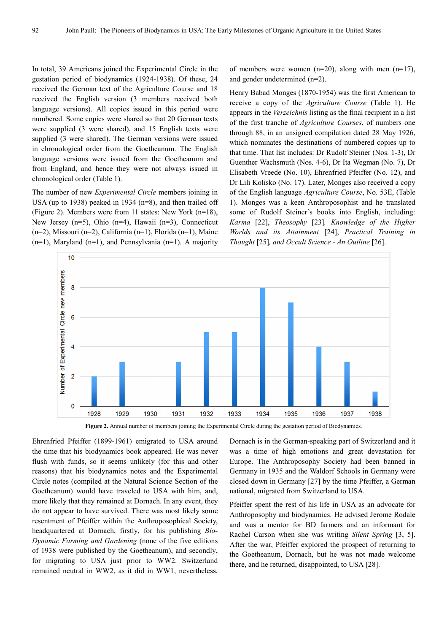In total, 39 Americans joined the Experimental Circle in the gestation period of biodynamics (1924-1938). Of these, 24 received the German text of the Agriculture Course and 18 received the English version (3 members received both language versions). All copies issued in this period were numbered. Some copies were shared so that 20 German texts were supplied (3 were shared), and 15 English texts were supplied (3 were shared). The German versions were issued in chronological order from the Goetheanum. The English language versions were issued from the Goetheanum and from England, and hence they were not always issued in chronological order (Table 1).

The number of new *Experimental Circle* members joining in USA (up to 1938) peaked in 1934 (n=8), and then trailed off (Figure 2). Members were from 11 states: New York (n=18), New Jersey (n=5), Ohio (n=4), Hawaii (n=3), Connecticut (n=2), Missouri (n=2), California (n=1), Florida (n=1), Maine (n=1), Maryland (n=1), and Pennsylvania (n=1). A majority of members were women  $(n=20)$ , along with men  $(n=17)$ , and gender undetermined (n=2).

Henry Babad Monges (1870-1954) was the first American to receive a copy of the *Agriculture Course* (Table 1). He appears in the *Verzeichnis* listing as the final recipient in a list of the first tranche of *Agriculture Courses*, of numbers one through 88, in an unsigned compilation dated 28 May 1926, which nominates the destinations of numbered copies up to that time. That list includes: Dr Rudolf Steiner (Nos. 1-3), Dr Guenther Wachsmuth (Nos. 4-6), Dr Ita Wegman (No. 7), Dr Elisabeth Vreede (No. 10), Ehrenfried Pfeiffer (No. 12), and Dr Lili Kolisko (No. 17). Later, Monges also received a copy of the English language *Agriculture Course*, No. 53E, (Table 1). Monges was a keen Anthroposophist and he translated some of Rudolf Steiner's books into English, including: *Karma* [22], *Theosophy* [23]*, Knowledge of the Higher Worlds and its Attainment* [24], *Practical Training in Thought* [25]*, and Occult Science - An Outline* [26].



**Figure 2.** Annual number of members joining the Experimental Circle during the gestation period of Biodynamics.

Ehrenfried Pfeiffer (1899-1961) emigrated to USA around the time that his biodynamics book appeared. He was never flush with funds, so it seems unlikely (for this and other reasons) that his biodynamics notes and the Experimental Circle notes (compiled at the Natural Science Section of the Goetheanum) would have traveled to USA with him, and, more likely that they remained at Dornach. In any event, they do not appear to have survived. There was most likely some resentment of Pfeiffer within the Anthroposophical Society, headquartered at Dornach, firstly, for his publishing *Bio-Dynamic Farming and Gardening* (none of the five editions of 1938 were published by the Goetheanum), and secondly, for migrating to USA just prior to WW2. Switzerland remained neutral in WW2, as it did in WW1, nevertheless,

Dornach is in the German-speaking part of Switzerland and it was a time of high emotions and great devastation for Europe. The Anthroposophy Society had been banned in Germany in 1935 and the Waldorf Schools in Germany were closed down in Germany [27] by the time Pfeiffer, a German national, migrated from Switzerland to USA.

Pfeiffer spent the rest of his life in USA as an advocate for Anthroposophy and biodynamics. He advised Jerome Rodale and was a mentor for BD farmers and an informant for Rachel Carson when she was writing *Silent Spring* [3, 5]. After the war, Pfeiffer explored the prospect of returning to the Goetheanum, Dornach, but he was not made welcome there, and he returned, disappointed, to USA [28].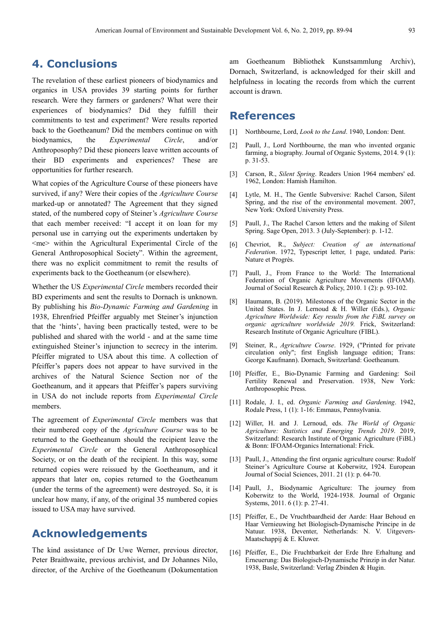# **4. Conclusions**

The revelation of these earliest pioneers of biodynamics and organics in USA provides 39 starting points for further research. Were they farmers or gardeners? What were their experiences of biodynamics? Did they fulfill their commitments to test and experiment? Were results reported back to the Goetheanum? Did the members continue on with biodynamics, the *Experimental Circle*, and/or Anthroposophy? Did these pioneers leave written accounts of their BD experiments and experiences? These are opportunities for further research.

What copies of the Agriculture Course of these pioneers have survived, if any? Were their copies of the *Agriculture Course* marked-up or annotated? The Agreement that they signed stated, of the numbered copy of Steiner's *Agriculture Course* that each member received: "I accept it on loan for my personal use in carrying out the experiments undertaken by <me> within the Agricultural Experimental Circle of the General Anthroposophical Society". Within the agreement, there was no explicit commitment to remit the results of experiments back to the Goetheanum (or elsewhere).

Whether the US *Experimental Circle* members recorded their BD experiments and sent the results to Dornach is unknown. By publishing his *Bio-Dynamic Farming and Gardening* in 1938, Ehrenfried Pfeiffer arguably met Steiner's injunction that the 'hints', having been practically tested, were to be published and shared with the world - and at the same time extinguished Steiner's injunction to secrecy in the interim. Pfeiffer migrated to USA about this time. A collection of Pfeiffer's papers does not appear to have survived in the archives of the Natural Science Section nor of the Goetheanum, and it appears that Pfeiffer's papers surviving in USA do not include reports from *Experimental Circle* members.

The agreement of *Experimental Circle* members was that their numbered copy of the *Agriculture Course* was to be returned to the Goetheanum should the recipient leave the *Experimental Circle* or the General Anthroposophical Society, or on the death of the recipient. In this way, some returned copies were reissued by the Goetheanum, and it appears that later on, copies returned to the Goetheanum (under the terms of the agreement) were destroyed. So, it is unclear how many, if any, of the original 35 numbered copies issued to USA may have survived.

# **Acknowledgements**

The kind assistance of Dr Uwe Werner, previous director, Peter Braithwaite, previous archivist, and Dr Johannes Nilo, director, of the Archive of the Goetheanum (Dokumentation am Goetheanum Bibliothek Kunstsammlung Archiv), Dornach, Switzerland, is acknowledged for their skill and helpfulness in locating the records from which the current account is drawn.

### **References**

- [1] Northbourne, Lord, *Look to the Land*. 1940, London: Dent.
- [2] Paull, J., Lord Northbourne, the man who invented organic farming, a biography. Journal of Organic Systems, 2014. 9 (1): p. 31-53.
- [3] Carson, R., *Silent Spring*. Readers Union 1964 members' ed. 1962, London: Hamish Hamilton.
- [4] Lytle, M. H., The Gentle Subversive: Rachel Carson, Silent Spring, and the rise of the environmental movement. 2007, New York: Oxford University Press.
- [5] Paull, J., The Rachel Carson letters and the making of Silent Spring. Sage Open, 2013. 3 (July-September): p. 1-12.
- [6] Chevriot, R., *Subject: Creation of an international Federation*. 1972, Typescript letter, 1 page, undated. Paris: Nature et Progrès.
- [7] Paull, J., From France to the World: The International Federation of Organic Agriculture Movements (IFOAM). Journal of Social Research & Policy, 2010. 1 (2): p. 93-102.
- [8] Haumann, B. (2019). Milestones of the Organic Sector in the United States. In J. Lernoud & H. Willer (Eds.), *Organic Agriculture Worldwide: Key results from the FiBL survey on organic agriculture worldwide 2019.* Frick, Switzerland: Research Institute of Organic Agriculture (FIBL).
- [9] Steiner, R., *Agriculture Course*. 1929, ("Printed for private circulation only"; first English language edition; Trans: George Kaufmann). Dornach, Switzerland: Goetheanum.
- [10] Pfeiffer, E., Bio-Dynamic Farming and Gardening: Soil Fertility Renewal and Preservation. 1938, New York: Anthroposophic Press.
- [11] Rodale, J. I., ed. *Organic Farming and Gardening*. 1942, Rodale Press, 1 (1): 1-16: Emmaus, Pennsylvania.
- [12] Willer, H. and J. Lernoud, eds. *The World of Organic Agriculture: Statistics and Emerging Trends 2019*. 2019, Switzerland: Research Institute of Organic Agriculture (FiBL) & Bonn: IFOAM-Organics International: Frick.
- [13] Paull, J., Attending the first organic agriculture course: Rudolf Steiner's Agriculture Course at Koberwitz, 1924. European Journal of Social Sciences, 2011. 21 (1): p. 64-70.
- [14] Paull, J., Biodynamic Agriculture: The journey from Koberwitz to the World, 1924-1938. Journal of Organic Systems, 2011. 6 (1): p. 27-41.
- [15] Pfeiffer, E., De Vruchtbaardheid der Aarde: Haar Behoud en Haar Vernieuwing het Biologisch-Dynamische Principe in de Natuur. 1938, Deventer, Netherlands: N. V. Uitgevers-Maatschappij & E. Kluwer.
- [16] Pfeiffer, E., Die Fruchtbarkeit der Erde Ihre Erhaltung and Erneuerung: Das Biologisch-Dynamische Prinzip in der Natur. 1938, Basle, Switzerland: Verlag Zbinden & Hugin.